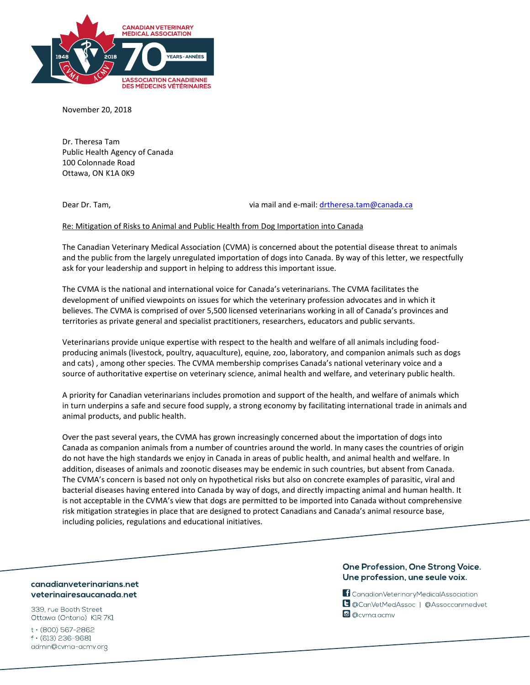

November 20, 2018

Dr. Theresa Tam Public Health Agency of Canada 100 Colonnade Road Ottawa, ON K1A 0K9

Dear Dr. Tam, via mail and e-mail[: drtheresa.tam@canada.ca](mailto:drtheresa.tam@canada.ca)

## Re: Mitigation of Risks to Animal and Public Health from Dog Importation into Canada

The Canadian Veterinary Medical Association (CVMA) is concerned about the potential disease threat to animals and the public from the largely unregulated importation of dogs into Canada. By way of this letter, we respectfully ask for your leadership and support in helping to address this important issue.

The CVMA is the national and international voice for Canada's veterinarians. The CVMA facilitates the development of unified viewpoints on issues for which the veterinary profession advocates and in which it believes. The CVMA is comprised of over 5,500 licensed veterinarians working in all of Canada's provinces and territories as private general and specialist practitioners, researchers, educators and public servants.

Veterinarians provide unique expertise with respect to the health and welfare of all animals including foodproducing animals (livestock, poultry, aquaculture), equine, zoo, laboratory, and companion animals such as dogs and cats) , among other species. The CVMA membership comprises Canada's national veterinary voice and a source of authoritative expertise on veterinary science, animal health and welfare, and veterinary public health.

A priority for Canadian veterinarians includes promotion and support of the health, and welfare of animals which in turn underpins a safe and secure food supply, a strong economy by facilitating international trade in animals and animal products, and public health.

Over the past several years, the CVMA has grown increasingly concerned about the importation of dogs into Canada as companion animals from a number of countries around the world. In many cases the countries of origin do not have the high standards we enjoy in Canada in areas of public health, and animal health and welfare. In addition, diseases of animals and zoonotic diseases may be endemic in such countries, but absent from Canada. The CVMA's concern is based not only on hypothetical risks but also on concrete examples of parasitic, viral and bacterial diseases having entered into Canada by way of dogs, and directly impacting animal and human health. It is not acceptable in the CVMA's view that dogs are permitted to be imported into Canada without comprehensive risk mitigation strategies in place that are designed to protect Canadians and Canada's animal resource base, including policies, regulations and educational initiatives.

## canadianveterinarians.net veterinairesaucanada.net

339, rue Booth Street Ottawa (Ontario) KIR 7KI

 $t \cdot (800)$  567-2862  $f \cdot (613)$  236-9681 admin@cvma-acmv.org

## One Profession, One Strong Voice. Une profession, une seule voix.

**f** CanadianVeterinaryMedicalAssociation G @CanVetMedAssoc | @Assoccanmedvet C @cvma.acmv